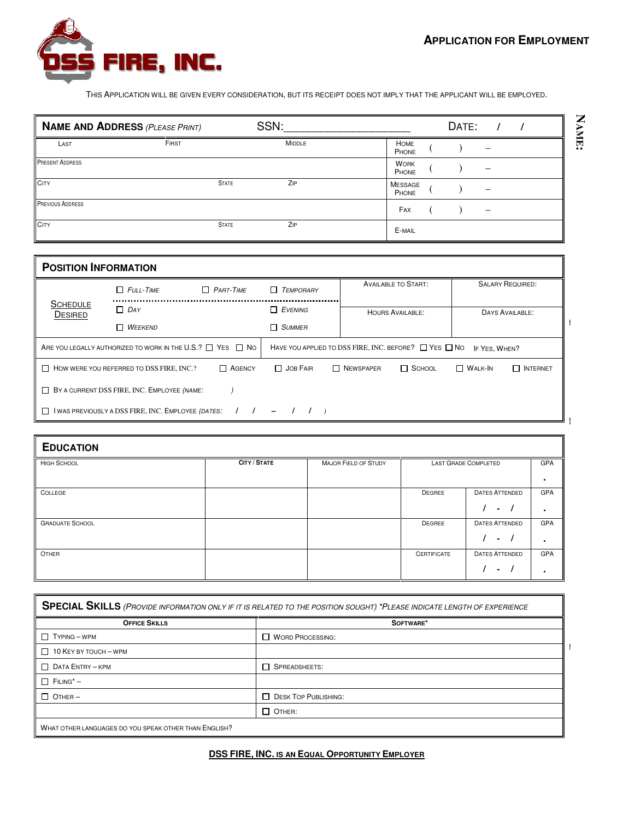**NAME:**



THIS APPLICATION WILL BE GIVEN EVERY CONSIDERATION, BUT ITS RECEIPT DOES NOT IMPLY THAT THE APPLICANT WILL BE EMPLOYED.

|                         | <b>NAME AND ADDRESS (PLEASE PRINT)</b> |              | SSN:          |                         | DATE: |                          |  |  |
|-------------------------|----------------------------------------|--------------|---------------|-------------------------|-------|--------------------------|--|--|
| LAST                    | FIRST                                  |              | <b>MIDDLE</b> | <b>HOME</b><br>PHONE    |       |                          |  |  |
| <b>PRESENT ADDRESS</b>  |                                        |              |               | <b>WORK</b><br>PHONE    |       | $\overline{\phantom{a}}$ |  |  |
| <b>CITY</b>             |                                        | <b>STATE</b> | ZIP           | <b>MESSAGE</b><br>PHONE |       | -                        |  |  |
| <b>PREVIOUS ADDRESS</b> |                                        |              |               | FAX                     |       | -                        |  |  |
| <b>CITY</b>             |                                        | <b>STATE</b> | ZIP           | E-MAIL                  |       |                          |  |  |

| <b>POSITION INFORMATION</b>                                                                      |                                                 |                  |                  |  |           |                                                                 |                |                         |
|--------------------------------------------------------------------------------------------------|-------------------------------------------------|------------------|------------------|--|-----------|-----------------------------------------------------------------|----------------|-------------------------|
|                                                                                                  | $\Box$ FULL-TIME                                | $\Box$ PART-TIME | $\Box$ TEMPORARY |  |           | <b>AVAILABLE TO START:</b>                                      |                | <b>SALARY REQUIRED:</b> |
| <b>SCHEDULE</b><br><b>DESIRED</b>                                                                | $\Box$ DAY                                      |                  | $\Box$ EVENING   |  |           | <b>HOURS AVAILABLE:</b>                                         |                | DAYS AVAILABLE:         |
|                                                                                                  | $\Box$ WEEKEND                                  |                  | $\Box$ SUMMER    |  |           |                                                                 |                |                         |
| ARE YOU LEGALLY AUTHORIZED TO WORK IN THE U.S.? $\Box$ YES $\Box$ No                             |                                                 |                  |                  |  |           | HAVE YOU APPLIED TO DSS FIRE, INC. BEFORE? $\Box$ YES $\Box$ No | IF YES. WHEN?  |                         |
|                                                                                                  | $\Box$ How were you referred to DSS FIRE, INC.? | <b>N</b> AGENCY  | □ JOB FAIR       |  | NEWSPAPER | $\Box$ SCHOOL                                                   | $\Box$ Walk-In | $\Box$ INTERNET         |
| BY A CURRENT DSS FIRE, INC. EMPLOYEE (NAME:                                                      |                                                 |                  |                  |  |           |                                                                 |                |                         |
| $1 \quad 1 \quad - \quad 1 \quad 1$<br>$\Box$ I WAS PREVIOUSLY A DSS FIRE, INC. EMPLOYEE (DATES: |                                                 |                  |                  |  |           |                                                                 |                |                         |

| <b>EDUCATION</b>       |              |                             |                    |                                             |                  |
|------------------------|--------------|-----------------------------|--------------------|---------------------------------------------|------------------|
| <b>HIGH SCHOOL</b>     | CITY / STATE | <b>MAJOR FIELD OF STUDY</b> |                    | LAST GRADE COMPLETED                        | GPA<br>$\bullet$ |
| COLLEGE                |              |                             | DEGREE             | <b>DATES ATTENDED</b><br>$\prime$<br>$\sim$ | GPA<br>$\bullet$ |
| <b>GRADUATE SCHOOL</b> |              |                             | DEGREE             | <b>DATES ATTENDED</b><br>$\sim$             | GPA<br>٠         |
| OTHER                  |              |                             | <b>CERTIFICATE</b> | <b>DATES ATTENDED</b><br>۰.                 | GPA<br>$\bullet$ |

| SPECIAL SKILLS (PROVIDE INFORMATION ONLY IF IT IS RELATED TO THE POSITION SOUGHT) *PLEASE INDICATE LENGTH OF EXPERIENCE |                               |  |  |  |
|-------------------------------------------------------------------------------------------------------------------------|-------------------------------|--|--|--|
| <b>OFFICE SKILLS</b>                                                                                                    | SOFTWARE*                     |  |  |  |
| $\Box$ TYPING - WPM                                                                                                     | WORD PROCESSING:              |  |  |  |
| $\Box$ 10 KEY BY TOUCH - WPM                                                                                            |                               |  |  |  |
| $\Box$ DATA ENTRY - KPM                                                                                                 | <b>N</b> SPREADSHEETS:        |  |  |  |
| $\Box$ FILING* -                                                                                                        |                               |  |  |  |
| $\Box$ OTHER -                                                                                                          | <b>T</b> DESK TOP PUBLISHING: |  |  |  |
|                                                                                                                         | $\Box$ OTHER:                 |  |  |  |
| WHAT OTHER LANGUAGES DO YOU SPEAK OTHER THAN ENGLISH?                                                                   |                               |  |  |  |

**DSS FIRE, INC. IS AN EQUAL OPPORTUNITY EMPLOYER**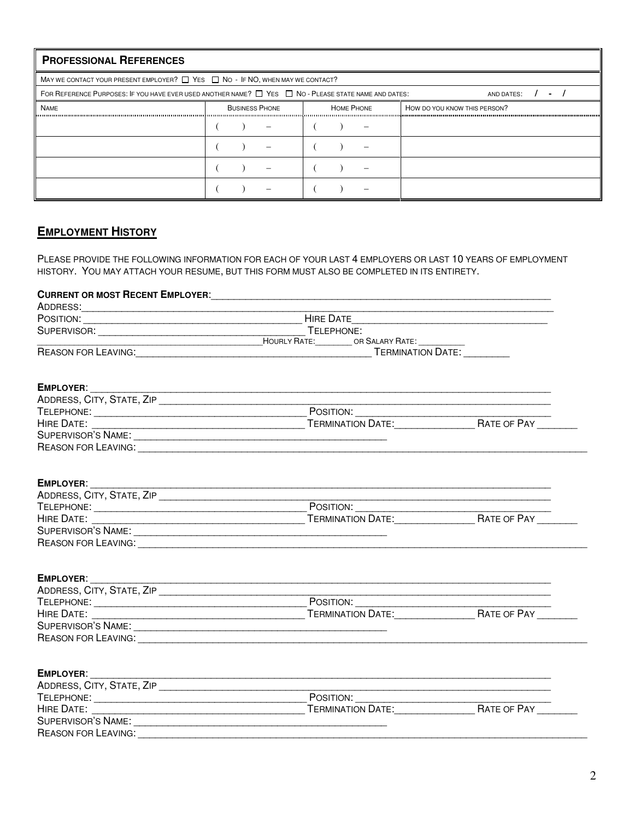| <b>PROFESSIONAL REFERENCES</b>        |                                                                                                                                                                                              |                                            |                                                                                                           |
|---------------------------------------|----------------------------------------------------------------------------------------------------------------------------------------------------------------------------------------------|--------------------------------------------|-----------------------------------------------------------------------------------------------------------|
|                                       | MAY WE CONTACT YOUR PRESENT EMPLOYER? $\Box$ YES $\Box$ NO - IF NO, WHEN MAY WE CONTACT?                                                                                                     |                                            |                                                                                                           |
|                                       | FOR REFERENCE PURPOSES: IF YOU HAVE EVER USED ANOTHER NAME? [ ] YES [ ] NO - PLEASE STATE NAME AND DATES:                                                                                    |                                            | AND DATES:                                                                                                |
| <b>NAME</b>                           | <b>BUSINESS PHONE</b>                                                                                                                                                                        | <b>HOME PHONE</b>                          | HOW DO YOU KNOW THIS PERSON?                                                                              |
|                                       |                                                                                                                                                                                              |                                            |                                                                                                           |
|                                       |                                                                                                                                                                                              |                                            |                                                                                                           |
|                                       |                                                                                                                                                                                              |                                            |                                                                                                           |
|                                       |                                                                                                                                                                                              |                                            |                                                                                                           |
| <b>EMPLOYMENT HISTORY</b><br>ADDRESS: | HISTORY. YOU MAY ATTACH YOUR RESUME, BUT THIS FORM MUST ALSO BE COMPLETED IN ITS ENTIRETY.<br>CURRENT OR MOST RECENT EMPLOYER: COMPONER AND THE RESERVE TO A REPORT OR MOST RECENT EMPLOYER: |                                            | PLEASE PROVIDE THE FOLLOWING INFORMATION FOR EACH OF YOUR LAST 4 EMPLOYERS OR LAST 10 YEARS OF EMPLOYMENT |
|                                       |                                                                                                                                                                                              |                                            |                                                                                                           |
|                                       |                                                                                                                                                                                              |                                            |                                                                                                           |
|                                       |                                                                                                                                                                                              |                                            |                                                                                                           |
|                                       |                                                                                                                                                                                              | TELEPHONE:<br>HOURLY RATE: OR SALARY RATE: | <b>TERMINATION DATE:</b>                                                                                  |

| <b>EMPLOYER:</b>           |                          |                    |
|----------------------------|--------------------------|--------------------|
| ADDRESS, CITY, STATE, ZIP  |                          |                    |
| TELEPHONE:                 | POSITION:                |                    |
| HIRE DATE:                 | <b>TERMINATION DATE:</b> | <b>RATE OF PAY</b> |
| SUPERVISOR'S NAME:         |                          |                    |
| <b>REASON FOR LEAVING:</b> |                          |                    |

| <b>EMPLOYER:</b>           |                          |                    |
|----------------------------|--------------------------|--------------------|
| ADDRESS, CITY, STATE, ZIP  |                          |                    |
| TELEPHONE:                 | POSITION:                |                    |
| HIRE DATE:                 | <b>TERMINATION DATE:</b> | <b>RATE OF PAY</b> |
| <b>SUPERVISOR'S NAME:</b>  |                          |                    |
| <b>REASON FOR LEAVING:</b> |                          |                    |

# **EMPLOYER**: \_\_\_\_\_\_\_\_\_\_\_\_\_\_\_\_\_\_\_\_\_\_\_\_\_\_\_\_\_\_\_\_\_\_\_\_\_\_\_\_\_\_\_\_\_\_\_\_\_\_\_\_\_\_\_\_\_\_\_\_\_\_\_\_\_\_\_\_\_\_\_\_\_\_\_\_\_\_\_\_

| ADDRESS, CITY, STATE, ZIP  |                   |                    |
|----------------------------|-------------------|--------------------|
| TELEPHONE:                 | POSITION:         |                    |
| HIRE DATE:                 | TERMINATION DATE: | <b>RATE OF PAY</b> |
| <b>SUPERVISOR'S NAME:</b>  |                   |                    |
| <b>REASON FOR LEAVING:</b> |                   |                    |

## **EMPLOYER**: \_\_\_\_\_\_\_\_\_\_\_\_\_\_\_\_\_\_\_\_\_\_\_\_\_\_\_\_\_\_\_\_\_\_\_\_\_\_\_\_\_\_\_\_\_\_\_\_\_\_\_\_\_\_\_\_\_\_\_\_\_\_\_\_\_\_\_\_\_\_\_\_\_\_\_\_\_\_\_\_

| ADDRESS, CITY, STATE, ZIP  |                          |                    |
|----------------------------|--------------------------|--------------------|
| TELEPHONE:                 | POSITION:                |                    |
| HIRE DATE:                 | <b>TERMINATION DATE:</b> | <b>RATE OF PAY</b> |
| SUPERVISOR'S NAME:         |                          |                    |
| <b>REASON FOR LEAVING:</b> |                          |                    |
|                            |                          |                    |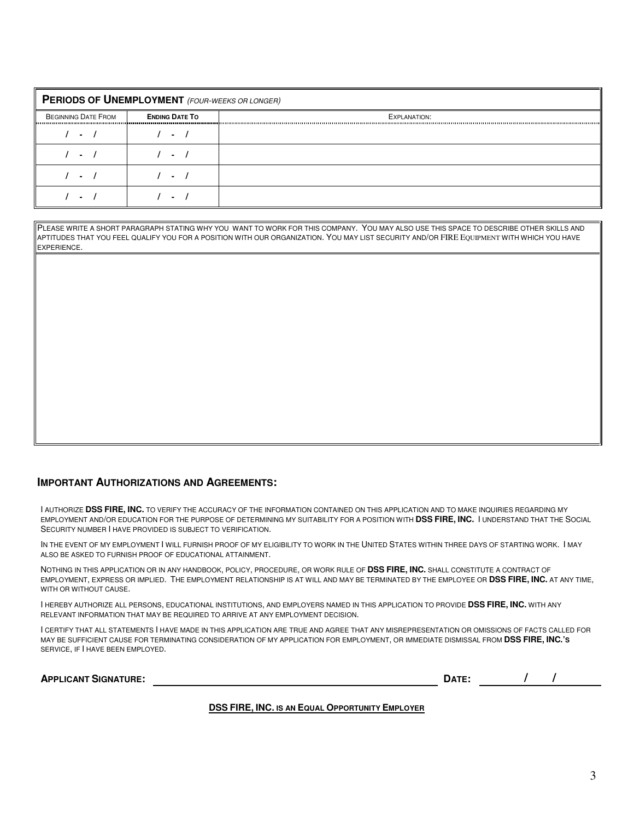| PERIODS OF UNEMPLOYMENT (FOUR-WEEKS OR LONGER) |                       |              |  |  |  |
|------------------------------------------------|-----------------------|--------------|--|--|--|
| <b>BEGINNING DATE FROM</b>                     | <b>ENDING DATE TO</b> | EXPLANATION: |  |  |  |
|                                                |                       |              |  |  |  |
|                                                |                       |              |  |  |  |
|                                                |                       |              |  |  |  |
|                                                |                       |              |  |  |  |

PLEASE WRITE A SHORT PARAGRAPH STATING WHY YOU WANT TO WORK FOR THIS COMPANY. YOU MAY ALSO USE THIS SPACE TO DESCRIBE OTHER SKILLS AND APTITUDES THAT YOU FEEL QUALIFY YOU FOR A POSITION WITH OUR ORGANIZATION. YOU MAY LIST SECURITY AND/OR FIRE EQUIPMENT WITH WHICH YOU HAVE EXPERIENCE.

#### **IMPORTANT AUTHORIZATIONS AND AGREEMENTS:**

I AUTHORIZE **DSS FIRE, INC.** TO VERIFY THE ACCURACY OF THE INFORMATION CONTAINED ON THIS APPLICATION AND TO MAKE INQUIRIES REGARDING MY EMPLOYMENT AND/OR EDUCATION FOR THE PURPOSE OF DETERMINING MY SUITABILITY FOR A POSITION WITH **DSS FIRE, INC.** I UNDERSTAND THAT THE SOCIAL SECURITY NUMBER I HAVE PROVIDED IS SUBJECT TO VERIFICATION.

IN THE EVENT OF MY EMPLOYMENT I WILL FURNISH PROOF OF MY ELIGIBILITY TO WORK IN THE UNITED STATES WITHIN THREE DAYS OF STARTING WORK. I MAY ALSO BE ASKED TO FURNISH PROOF OF EDUCATIONAL ATTAINMENT.

NOTHING IN THIS APPLICATION OR IN ANY HANDBOOK, POLICY, PROCEDURE, OR WORK RULE OF **DSS FIRE, INC.** SHALL CONSTITUTE A CONTRACT OF EMPLOYMENT, EXPRESS OR IMPLIED. THE EMPLOYMENT RELATIONSHIP IS AT WILL AND MAY BE TERMINATED BY THE EMPLOYEE OR **DSS FIRE, INC.** AT ANY TIME, WITH OR WITHOUT CAUSE.

I HEREBY AUTHORIZE ALL PERSONS, EDUCATIONAL INSTITUTIONS, AND EMPLOYERS NAMED IN THIS APPLICATION TO PROVIDE **DSS FIRE, INC.** WITH ANY RELEVANT INFORMATION THAT MAY BE REQUIRED TO ARRIVE AT ANY EMPLOYMENT DECISION.

I CERTIFY THAT ALL STATEMENTS I HAVE MADE IN THIS APPLICATION ARE TRUE AND AGREE THAT ANY MISREPRESENTATION OR OMISSIONS OF FACTS CALLED FOR MAY BE SUFFICIENT CAUSE FOR TERMINATING CONSIDERATION OF MY APPLICATION FOR EMPLOYMENT, OR IMMEDIATE DISMISSAL FROM **DSS FIRE, INC.'S** SERVICE, IF I HAVE BEEN EMPLOYED.

| <b>APPLICANT SIGNATURE:</b> | $ -$ |  |  |
|-----------------------------|------|--|--|
|                             |      |  |  |

#### **DSS FIRE, INC. IS AN EQUAL OPPORTUNITY EMPLOYER**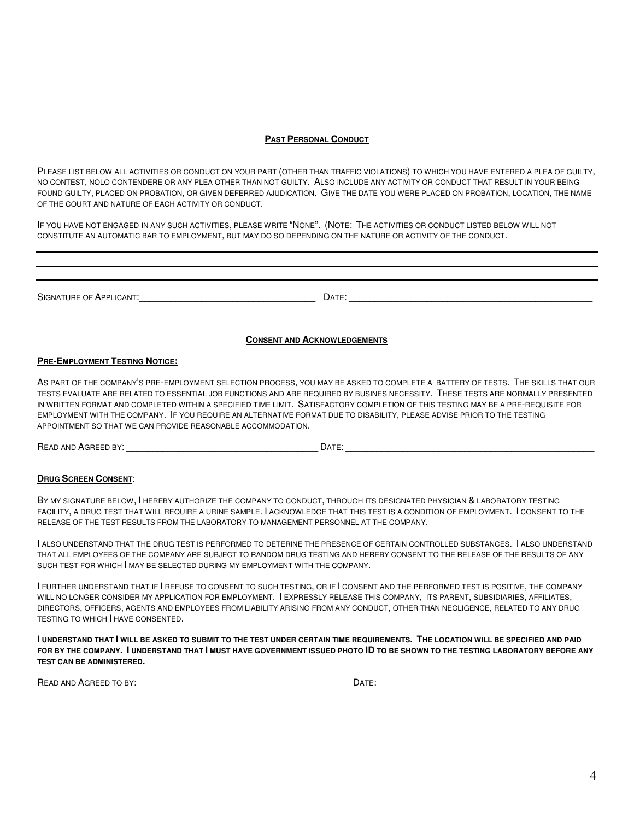#### **PAST PERSONAL CONDUCT**

PLEASE LIST BELOW ALL ACTIVITIES OR CONDUCT ON YOUR PART (OTHER THAN TRAFFIC VIOLATIONS) TO WHICH YOU HAVE ENTERED A PLEA OF GUILTY, NO CONTEST, NOLO CONTENDERE OR ANY PLEA OTHER THAN NOT GUILTY. ALSO INCLUDE ANY ACTIVITY OR CONDUCT THAT RESULT IN YOUR BEING FOUND GUILTY, PLACED ON PROBATION, OR GIVEN DEFERRED AJUDICATION. GIVE THE DATE YOU WERE PLACED ON PROBATION, LOCATION, THE NAME OF THE COURT AND NATURE OF EACH ACTIVITY OR CONDUCT.

IF YOU HAVE NOT ENGAGED IN ANY SUCH ACTIVITIES, PLEASE WRITE "NONE". (NOTE: THE ACTIVITIES OR CONDUCT LISTED BELOW WILL NOT CONSTITUTE AN AUTOMATIC BAR TO EMPLOYMENT, BUT MAY DO SO DEPENDING ON THE NATURE OR ACTIVITY OF THE CONDUCT.

SIGNATURE OF APPLICANT: The set of the set of the set of the set of the set of the set of the set of the set of the set of the set of the set of the set of the set of the set of the set of the set of the set of the set of

#### **CONSENT AND ACKNOWLEDGEMENTS**

#### **PRE-EMPLOYMENT TESTING NOTICE:**

AS PART OF THE COMPANY'S PRE-EMPLOYMENT SELECTION PROCESS, YOU MAY BE ASKED TO COMPLETE A BATTERY OF TESTS. THE SKILLS THAT OUR TESTS EVALUATE ARE RELATED TO ESSENTIAL JOB FUNCTIONS AND ARE REQUIRED BY BUSINES NECESSITY. THESE TESTS ARE NORMALLY PRESENTED IN WRITTEN FORMAT AND COMPLETED WITHIN A SPECIFIED TIME LIMIT. SATISFACTORY COMPLETION OF THIS TESTING MAY BE A PRE-REQUISITE FOR EMPLOYMENT WITH THE COMPANY. IF YOU REQUIRE AN ALTERNATIVE FORMAT DUE TO DISABILITY, PLEASE ADVISE PRIOR TO THE TESTING APPOINTMENT SO THAT WE CAN PROVIDE REASONABLE ACCOMMODATION.

READ AND AGREED BY: \_\_\_\_\_\_\_\_\_\_\_\_\_\_\_\_\_\_\_\_\_\_\_\_\_\_\_\_\_\_\_\_\_\_\_\_\_ DATE: \_\_\_\_\_\_\_\_\_\_\_\_\_\_\_\_\_\_\_\_\_\_\_\_\_\_\_\_\_\_\_\_\_\_\_\_\_\_\_\_\_\_\_\_\_\_\_\_

#### **DRUG SCREEN CONSENT**:

BY MY SIGNATURE BELOW, I HEREBY AUTHORIZE THE COMPANY TO CONDUCT, THROUGH ITS DESIGNATED PHYSICIAN & LABORATORY TESTING FACILITY, A DRUG TEST THAT WILL REQUIRE A URINE SAMPLE. I ACKNOWLEDGE THAT THIS TEST IS A CONDITION OF EMPLOYMENT. I CONSENT TO THE RELEASE OF THE TEST RESULTS FROM THE LABORATORY TO MANAGEMENT PERSONNEL AT THE COMPANY.

I ALSO UNDERSTAND THAT THE DRUG TEST IS PERFORMED TO DETERINE THE PRESENCE OF CERTAIN CONTROLLED SUBSTANCES. I ALSO UNDERSTAND THAT ALL EMPLOYEES OF THE COMPANY ARE SUBJECT TO RANDOM DRUG TESTING AND HEREBY CONSENT TO THE RELEASE OF THE RESULTS OF ANY SUCH TEST FOR WHICH I MAY BE SELECTED DURING MY EMPLOYMENT WITH THE COMPANY.

I FURTHER UNDERSTAND THAT IF I REFUSE TO CONSENT TO SUCH TESTING, OR IF I CONSENT AND THE PERFORMED TEST IS POSITIVE, THE COMPANY WILL NO LONGER CONSIDER MY APPLICATION FOR EMPLOYMENT. I EXPRESSLY RELEASE THIS COMPANY, ITS PARENT, SUBSIDIARIES, AFFILIATES, DIRECTORS, OFFICERS, AGENTS AND EMPLOYEES FROM LIABILITY ARISING FROM ANY CONDUCT, OTHER THAN NEGLIGENCE, RELATED TO ANY DRUG TESTING TO WHICH I HAVE CONSENTED.

**I UNDERSTAND THAT I WILL BE ASKED TO SUBMIT TO THE TEST UNDER CERTAIN TIME REQUIREMENTS. THE LOCATION WILL BE SPECIFIED AND PAID FOR BY THE COMPANY. I UNDERSTAND THAT I MUST HAVE GOVERNMENT ISSUED PHOTO ID TO BE SHOWN TO THE TESTING LABORATORY BEFORE ANY TEST CAN BE ADMINISTERED.** 

| READ AND AGREED TO BY: | DATE: |  |
|------------------------|-------|--|
|                        |       |  |